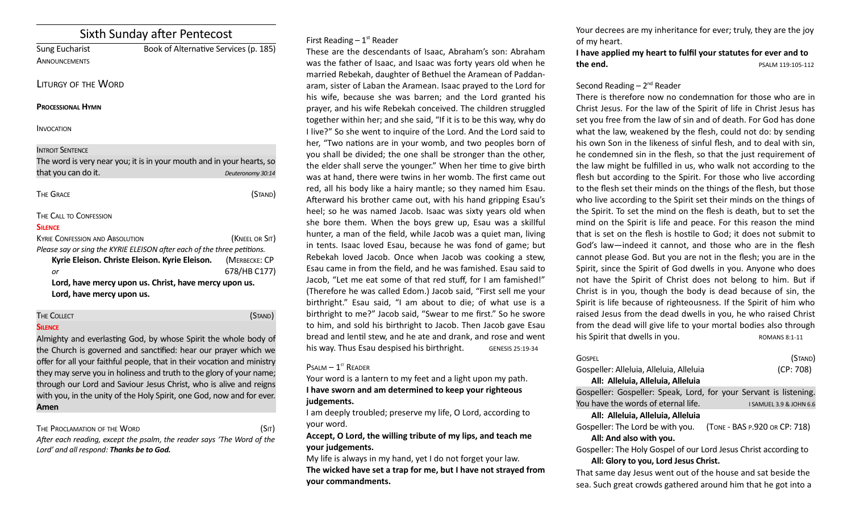# Sixth Sunday after Pentecost

Sung Eucharist Book of Alternative Services (p. 185) **ANNOUNCEMENTS** 

# LITURGY OF THE WORD

#### **PROCESSIONAL HYMN**

#### **INVOCATION**

#### **INTROIT SENTENCE**

| The word is very near you; it is in your mouth and in your hearts, so |                   |
|-----------------------------------------------------------------------|-------------------|
| that you can do it.                                                   | Deuteronomy 30:14 |

| <b>THE GRACE</b>                                                        | (Stand)        |
|-------------------------------------------------------------------------|----------------|
| THE CALL TO CONFESSION                                                  |                |
| <b>SILFNCF</b>                                                          |                |
| <b>KYRIE CONFESSION AND ABSOLUTION</b>                                  | (KNEEL OR SIT) |
| Please say or sing the KYRIE ELEISON after each of the three petitions. |                |
| Kyrie Eleison. Christe Eleison. Kyrie Eleison.                          | (MERBECKE: CP  |
| or                                                                      | 678/HB C177)   |

**Lord, have mercy upon us. Christ, have mercy upon us. Lord, have mercy upon us.**

#### THE COLLECT **THE COLLECT COLLECT**

### **SILENCE**

Almighty and everlasting God, by whose Spirit the whole body of the Church is governed and sanctified: hear our prayer which we offer for all your faithful people, that in their vocation and ministry they may serve you in holiness and truth to the glory of your name; through our Lord and Saviour Jesus Christ, who is alive and reigns with you, in the unity of the Holy Spirit, one God, now and for ever. **Amen**

## THE PROCLAMATION OF THE WORD (SIT)

*Afer each reading, except the psalm, the reader says 'The Word of the Lord' and all respond: Thanks be to God.* 

# First Reading  $-1<sup>st</sup>$  Reader

These are the descendants of Isaac, Abraham's son: Abraham was the father of Isaac, and Isaac was forty years old when he married Rebekah, daughter of Bethuel the Aramean of Paddanaram, sister of Laban the Aramean. Isaac prayed to the Lord for his wife, because she was barren; and the Lord granted his prayer, and his wife Rebekah conceived. The children struggled together within her; and she said, "If it is to be this way, why do I live?" So she went to inquire of the Lord. And the Lord said to her, "Two nations are in your womb, and two peoples born of you shall be divided; the one shall be stronger than the other, the elder shall serve the younger." When her tme to give birth was at hand, there were twins in her womb. The frst came out red, all his body like a hairy mantle; so they named him Esau. Aferward his brother came out, with his hand gripping Esau's heel; so he was named Jacob. Isaac was sixty years old when she bore them. When the boys grew up, Esau was a skillful hunter, a man of the field, while Jacob was a quiet man, living in tents. Isaac loved Esau, because he was fond of game; but Rebekah loved Jacob. Once when Jacob was cooking a stew, Esau came in from the feld, and he was famished. Esau said to Jacob, "Let me eat some of that red stuf, for I am famished!" (Therefore he was called Edom.) Jacob said, "First sell me your birthright." Esau said, "I am about to die; of what use is a birthright to me?" Jacob said, "Swear to me frst." So he swore to him, and sold his birthright to Jacob. Then Jacob gave Esau bread and lentil stew, and he ate and drank, and rose and went his way. Thus Esau despised his birthright. GENESIS 25:19-34

### $P$ SALM  $-1$ <sup>ST</sup> READER

Your word is a lantern to my feet and a light upon my path. **I have sworn and am determined to keep your righteous judgements.**

I am deeply troubled; preserve my life, O Lord, according to your word.

**Accept, O Lord, the willing tribute of my lips, and teach me your judgements.**

My life is always in my hand, yet I do not forget your law. **The wicked have set a trap for me, but I have not strayed from your commandments.**

Your decrees are my inheritance for ever; truly, they are the joy of my heart.

**I have applied my heart to fulfil your statutes for ever and to the end.** PSALM 119:105-112

# Second Reading  $-2^{nd}$  Reader

There is therefore now no condemnation for those who are in Christ Jesus. For the law of the Spirit of life in Christ Jesus has set you free from the law of sin and of death. For God has done what the law, weakened by the flesh, could not do: by sending his own Son in the likeness of sinful fesh, and to deal with sin, he condemned sin in the flesh, so that the just requirement of the law might be fulflled in us, who walk not according to the fesh but according to the Spirit. For those who live according to the flesh set their minds on the things of the flesh, but those who live according to the Spirit set their minds on the things of the Spirit. To set the mind on the flesh is death, but to set the mind on the Spirit is life and peace. For this reason the mind that is set on the flesh is hostile to God; it does not submit to God's law—indeed it cannot, and those who are in the flesh cannot please God. But you are not in the fesh; you are in the Spirit, since the Spirit of God dwells in you. Anyone who does not have the Spirit of Christ does not belong to him. But if Christ is in you, though the body is dead because of sin, the Spirit is life because of righteousness. If the Spirit of him who raised Jesus from the dead dwells in you, he who raised Christ from the dead will give life to your mortal bodies also through his Spirit that dwells in you. This Spirit that dwells in you.

| GOSPFI                                                            | (Stand)                       |
|-------------------------------------------------------------------|-------------------------------|
| Gospeller: Alleluia, Alleluia, Alleluia                           | (CP: 708)                     |
| All: Alleluia, Alleluia, Alleluia                                 |                               |
| Gospeller: Gospeller: Speak, Lord, for your Servant is listening. |                               |
| You have the words of eternal life.                               | I SAMUEL 3.9 & JOHN 6.6       |
| All: Alleluia, Alleluia, Alleluia                                 |                               |
| Gospeller: The Lord be with you.                                  | (TONE - BAS P.920 OR CP: 718) |
| All: And also with you.                                           |                               |
| Gospeller: The Holy Gospel of our Lord Jesus Christ according to  |                               |
| All: Glory to you, Lord Jesus Christ.                             |                               |

That same day Jesus went out of the house and sat beside the sea. Such great crowds gathered around him that he got into a